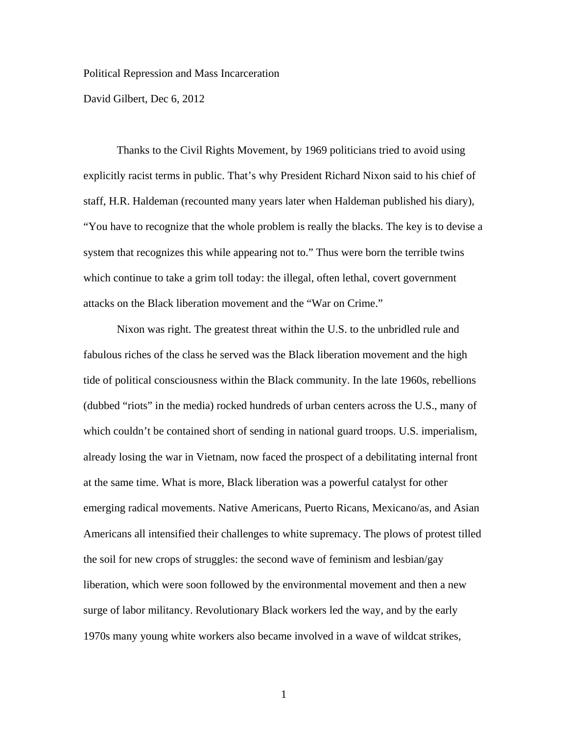Political Repression and Mass Incarceration

David Gilbert, Dec 6, 2012

Thanks to the Civil Rights Movement, by 1969 politicians tried to avoid using explicitly racist terms in public. That's why President Richard Nixon said to his chief of staff, H.R. Haldeman (recounted many years later when Haldeman published his diary), "You have to recognize that the whole problem is really the blacks. The key is to devise a system that recognizes this while appearing not to." Thus were born the terrible twins which continue to take a grim toll today: the illegal, often lethal, covert government attacks on the Black liberation movement and the "War on Crime."

Nixon was right. The greatest threat within the U.S. to the unbridled rule and fabulous riches of the class he served was the Black liberation movement and the high tide of political consciousness within the Black community. In the late 1960s, rebellions (dubbed "riots" in the media) rocked hundreds of urban centers across the U.S., many of which couldn't be contained short of sending in national guard troops. U.S. imperialism, already losing the war in Vietnam, now faced the prospect of a debilitating internal front at the same time. What is more, Black liberation was a powerful catalyst for other emerging radical movements. Native Americans, Puerto Ricans, Mexicano/as, and Asian Americans all intensified their challenges to white supremacy. The plows of protest tilled the soil for new crops of struggles: the second wave of feminism and lesbian/gay liberation, which were soon followed by the environmental movement and then a new surge of labor militancy. Revolutionary Black workers led the way, and by the early 1970s many young white workers also became involved in a wave of wildcat strikes,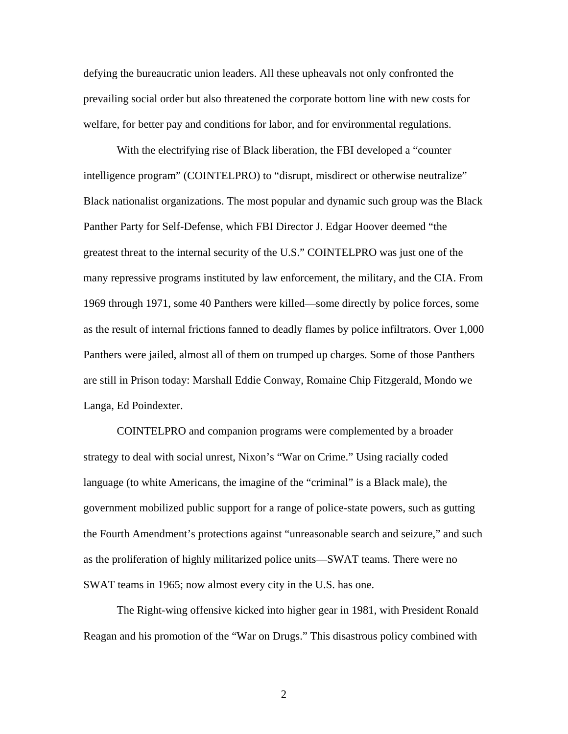defying the bureaucratic union leaders. All these upheavals not only confronted the prevailing social order but also threatened the corporate bottom line with new costs for welfare, for better pay and conditions for labor, and for environmental regulations.

With the electrifying rise of Black liberation, the FBI developed a "counter intelligence program" (COINTELPRO) to "disrupt, misdirect or otherwise neutralize" Black nationalist organizations. The most popular and dynamic such group was the Black Panther Party for Self-Defense, which FBI Director J. Edgar Hoover deemed "the greatest threat to the internal security of the U.S." COINTELPRO was just one of the many repressive programs instituted by law enforcement, the military, and the CIA. From 1969 through 1971, some 40 Panthers were killed—some directly by police forces, some as the result of internal frictions fanned to deadly flames by police infiltrators. Over 1,000 Panthers were jailed, almost all of them on trumped up charges. Some of those Panthers are still in Prison today: Marshall Eddie Conway, Romaine Chip Fitzgerald, Mondo we Langa, Ed Poindexter.

COINTELPRO and companion programs were complemented by a broader strategy to deal with social unrest, Nixon's "War on Crime." Using racially coded language (to white Americans, the imagine of the "criminal" is a Black male), the government mobilized public support for a range of police-state powers, such as gutting the Fourth Amendment's protections against "unreasonable search and seizure," and such as the proliferation of highly militarized police units—SWAT teams. There were no SWAT teams in 1965; now almost every city in the U.S. has one.

The Right-wing offensive kicked into higher gear in 1981, with President Ronald Reagan and his promotion of the "War on Drugs." This disastrous policy combined with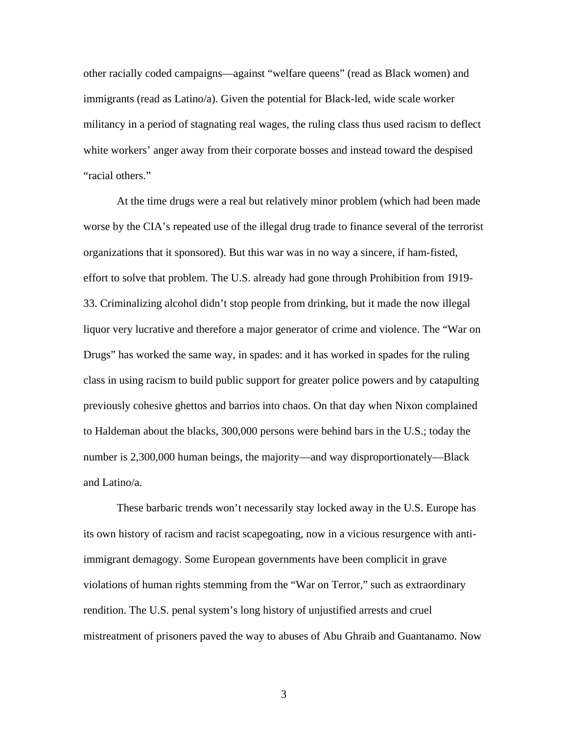other racially coded campaigns—against "welfare queens" (read as Black women) and immigrants (read as Latino/a). Given the potential for Black-led, wide scale worker militancy in a period of stagnating real wages, the ruling class thus used racism to deflect white workers' anger away from their corporate bosses and instead toward the despised "racial others."

At the time drugs were a real but relatively minor problem (which had been made worse by the CIA's repeated use of the illegal drug trade to finance several of the terrorist organizations that it sponsored). But this war was in no way a sincere, if ham-fisted, effort to solve that problem. The U.S. already had gone through Prohibition from 1919- 33. Criminalizing alcohol didn't stop people from drinking, but it made the now illegal liquor very lucrative and therefore a major generator of crime and violence. The "War on Drugs" has worked the same way, in spades: and it has worked in spades for the ruling class in using racism to build public support for greater police powers and by catapulting previously cohesive ghettos and barrios into chaos. On that day when Nixon complained to Haldeman about the blacks, 300,000 persons were behind bars in the U.S.; today the number is 2,300,000 human beings, the majority—and way disproportionately—Black and Latino/a.

These barbaric trends won't necessarily stay locked away in the U.S. Europe has its own history of racism and racist scapegoating, now in a vicious resurgence with antiimmigrant demagogy. Some European governments have been complicit in grave violations of human rights stemming from the "War on Terror," such as extraordinary rendition. The U.S. penal system's long history of unjustified arrests and cruel mistreatment of prisoners paved the way to abuses of Abu Ghraib and Guantanamo. Now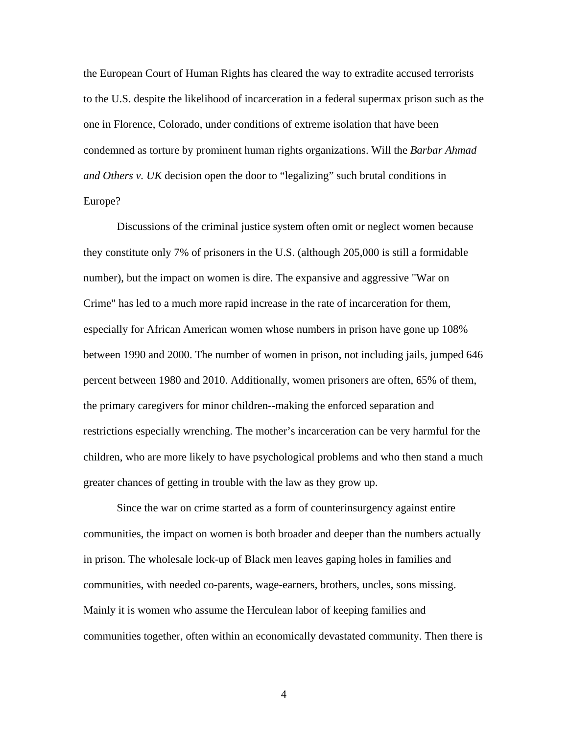the European Court of Human Rights has cleared the way to extradite accused terrorists to the U.S. despite the likelihood of incarceration in a federal supermax prison such as the one in Florence, Colorado, under conditions of extreme isolation that have been condemned as torture by prominent human rights organizations. Will the *Barbar Ahmad and Others v. UK* decision open the door to "legalizing" such brutal conditions in Europe?

Discussions of the criminal justice system often omit or neglect women because they constitute only 7% of prisoners in the U.S. (although 205,000 is still a formidable number), but the impact on women is dire. The expansive and aggressive "War on Crime" has led to a much more rapid increase in the rate of incarceration for them, especially for African American women whose numbers in prison have gone up 108% between 1990 and 2000. The number of women in prison, not including jails, jumped 646 percent between 1980 and 2010. Additionally, women prisoners are often, 65% of them, the primary caregivers for minor children--making the enforced separation and restrictions especially wrenching. The mother's incarceration can be very harmful for the children, who are more likely to have psychological problems and who then stand a much greater chances of getting in trouble with the law as they grow up.

Since the war on crime started as a form of counterinsurgency against entire communities, the impact on women is both broader and deeper than the numbers actually in prison. The wholesale lock-up of Black men leaves gaping holes in families and communities, with needed co-parents, wage-earners, brothers, uncles, sons missing. Mainly it is women who assume the Herculean labor of keeping families and communities together, often within an economically devastated community. Then there is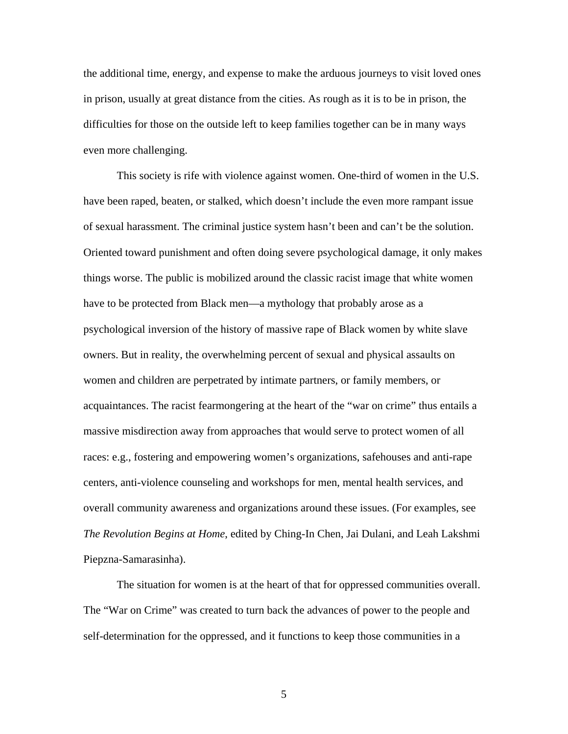the additional time, energy, and expense to make the arduous journeys to visit loved ones in prison, usually at great distance from the cities. As rough as it is to be in prison, the difficulties for those on the outside left to keep families together can be in many ways even more challenging.

This society is rife with violence against women. One-third of women in the U.S. have been raped, beaten, or stalked, which doesn't include the even more rampant issue of sexual harassment. The criminal justice system hasn't been and can't be the solution. Oriented toward punishment and often doing severe psychological damage, it only makes things worse. The public is mobilized around the classic racist image that white women have to be protected from Black men—a mythology that probably arose as a psychological inversion of the history of massive rape of Black women by white slave owners. But in reality, the overwhelming percent of sexual and physical assaults on women and children are perpetrated by intimate partners, or family members, or acquaintances. The racist fearmongering at the heart of the "war on crime" thus entails a massive misdirection away from approaches that would serve to protect women of all races: e.g., fostering and empowering women's organizations, safehouses and anti-rape centers, anti-violence counseling and workshops for men, mental health services, and overall community awareness and organizations around these issues. (For examples, see *The Revolution Begins at Home*, edited by Ching-In Chen, Jai Dulani, and Leah Lakshmi Piepzna-Samarasinha).

The situation for women is at the heart of that for oppressed communities overall. The "War on Crime" was created to turn back the advances of power to the people and self-determination for the oppressed, and it functions to keep those communities in a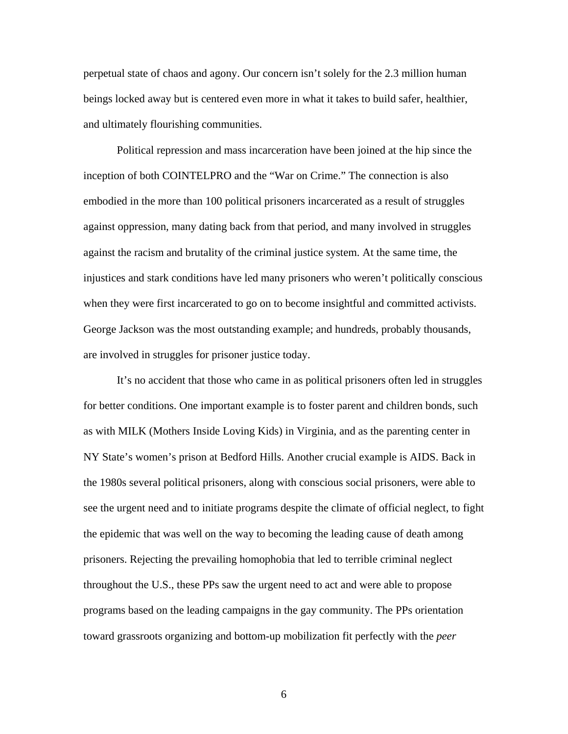perpetual state of chaos and agony. Our concern isn't solely for the 2.3 million human beings locked away but is centered even more in what it takes to build safer, healthier, and ultimately flourishing communities.

Political repression and mass incarceration have been joined at the hip since the inception of both COINTELPRO and the "War on Crime." The connection is also embodied in the more than 100 political prisoners incarcerated as a result of struggles against oppression, many dating back from that period, and many involved in struggles against the racism and brutality of the criminal justice system. At the same time, the injustices and stark conditions have led many prisoners who weren't politically conscious when they were first incarcerated to go on to become insightful and committed activists. George Jackson was the most outstanding example; and hundreds, probably thousands, are involved in struggles for prisoner justice today.

It's no accident that those who came in as political prisoners often led in struggles for better conditions. One important example is to foster parent and children bonds, such as with MILK (Mothers Inside Loving Kids) in Virginia, and as the parenting center in NY State's women's prison at Bedford Hills. Another crucial example is AIDS. Back in the 1980s several political prisoners, along with conscious social prisoners, were able to see the urgent need and to initiate programs despite the climate of official neglect, to fight the epidemic that was well on the way to becoming the leading cause of death among prisoners. Rejecting the prevailing homophobia that led to terrible criminal neglect throughout the U.S., these PPs saw the urgent need to act and were able to propose programs based on the leading campaigns in the gay community. The PPs orientation toward grassroots organizing and bottom-up mobilization fit perfectly with the *peer*